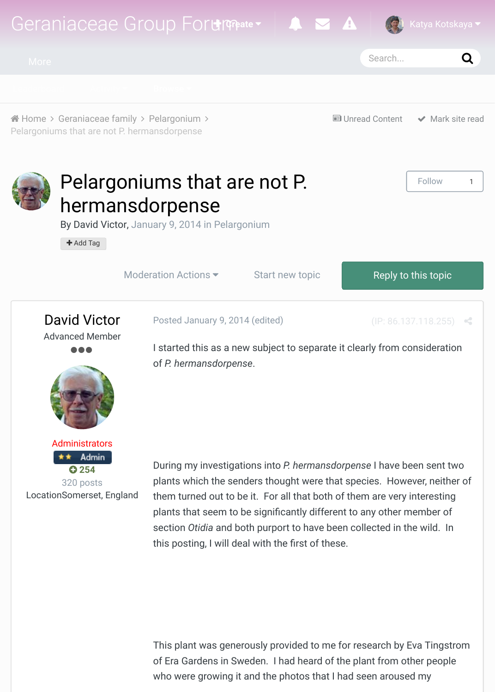

# [P](http://geraniaceae-group-forum.org/index.php?/topic/112-pelargoniums-that-are-not-p-hermansdorpense/#)elargoniums that are not P. [he](http://geraniaceae-group-forum.org/index.php?/leaderboard/)[rmans](http://geraniaceae-group-forum.org/index.php?/discover/)[dorpens](http://geraniaceae-group-forum.org/)e

By David Victor, January 9, 2014 in Pelargonium

 $+$  Add Tag

Moderation Actions  $\bullet$  Start new topic Reply to this topic

Follo





Posted January 9, 2014 (edited) (IP: 86.137.118

I started this [as a new subj](http://geraniaceae-group-forum.org/index.php?/forum/7-pelargonium/)ect to separate it clearly from consideration of *P. hermansdorpense*.

During my investigations into *P. hermansdorpense* I have been set plants which the senders thought were that species. However, neither them turned out to be it. For all that both of them are very intere plants that seem to be significantly different to any other member section *Otidia* and both purport to have been collected in the wild this posting, I will deal with the first of these.

This plant was generously provided to me for research by Eva Ti of Era Gardens in Sweden. I had heard of the plant from other po who were growing it and the photos that I had seen aroused my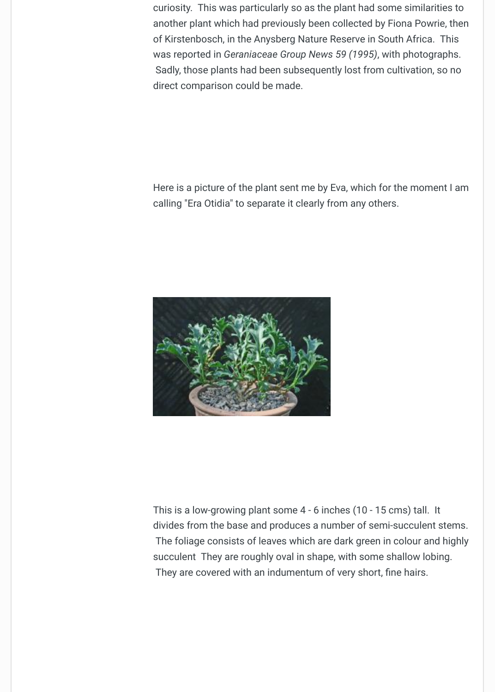Here is a picture of the plant sent me by Eva, which for the mom calling "Era Otidia" to separate it clearly from any others.



This is a low-growing plant some  $4 - 6$  inches (10 - 15 cms) tall. divides from the base and produces a number of semi-succulent The foliage consists of leaves which are dark green in colour an succulent They are roughly oval in shape, with some shallow lob They are covered with an indumentum of very short, fine hairs.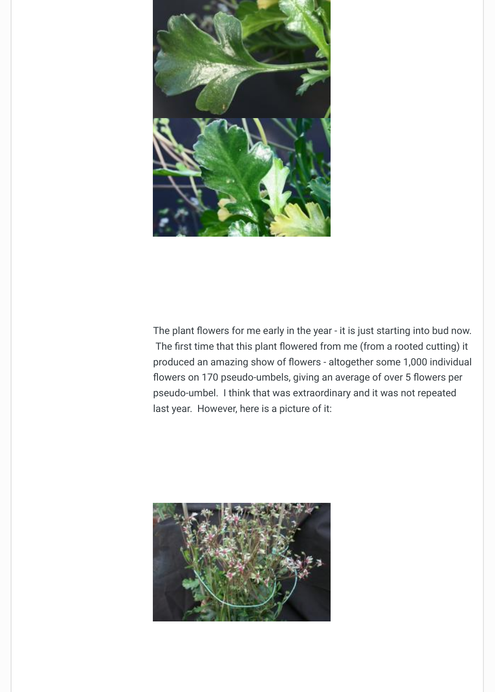

The plant flowers for me early in the year - it is just starting into I The first time that this plant flowered from me (from a rooted cutting) produced an amazing show of flowers - altogether some 1,000 in flowers on 170 pseudo-umbels, giving an average of over 5 flow pseudo-umbel. I think that was extraordinary and it was not repe last year. However, here is a picture of it:

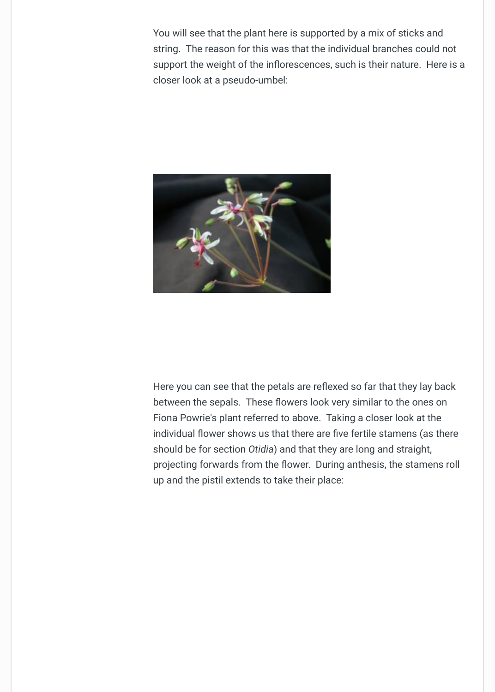

Here you can see that the petals are reflexed so far that they lay between the sepals. These flowers look very similar to the ones Fiona Powrie's plant referred to above. Taking a closer look at the individual flower shows us that there are five fertile stamens (as should be for section *Otidia*) and that they are long and straight, projecting forwards from the flower. During anthesis, the stame up and the pistil extends to take their place: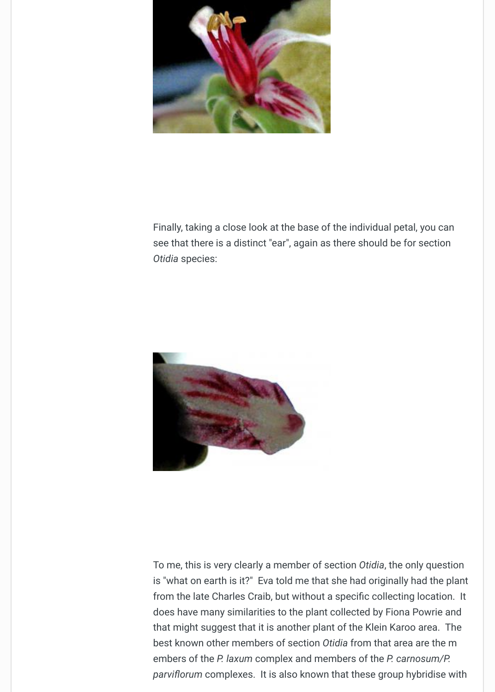[Finally, taking a close look at the base of](http://geraniaceae-group-forum.org/uploads/monthly_01_2014/post-3-0-62527000-1389281889.jpg) the individual petal, you see that there is a distinct "ear", again as there should be for sec *Otidia* species:



[To me, this is very clearly a member of se](http://geraniaceae-group-forum.org/uploads/monthly_01_2014/post-3-0-33383800-1389282526.jpg)ction *Otidia*, the only question is "what on earth is it?" Eva told me that she had originally had t from the late Charles Craib, but without a specific collecting location. does have many similarities to the plant collected by Fiona Powi that might suggest that it is another plant of the Klein Karoo area. best known other members of section Otidia from that area are t embers of the *P. laxum* complex and members of the *P. carnosur parviflorum* complexes. It is also known that these group hybrid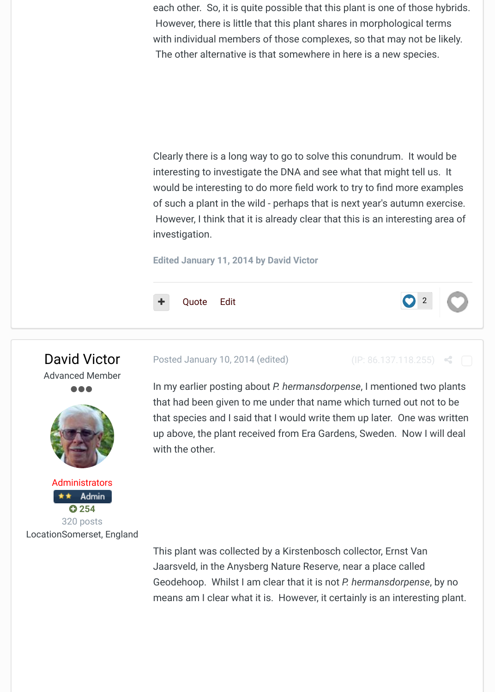Clearly there is a long way to go to solve this conundrum. It would be also been interesting to investigate the DNA and see what that might tell u would be interesting to do more field work to try to find more examples of such a plant in the wild - perhaps that is next year's autumn ex However, I think that it is already clear that this is an interesting investigation.

**Edited January 11, 2014 by David Victor**

Quote Edit





Locat[ionSomerset, En](http://geraniaceae-group-forum.org/index.php?/profile/3-david-victor/&wr=eyJhcHAiOiJmb3J1bXMiLCJtb2R1bGUiOiJmb3J1bXMtY29tbWVudCIsImlkXzEiOjExMiwiaWRfMiI6NTU5fQ==)gland

#### Posted January 10, 2014 (edited) (IP: 86.137.118.255)

In my earlier posting about *P. hermansdorpense*, I mentioned two that had been given to me under that name which turned out not that species and I said that I would write them up later. One was up ab[ove, the](http://geraniaceae-group-forum.org/index.php?/topic/112-pelargoniums-that-are-not-p-hermansdorpense/#) p[lant](http://geraniaceae-group-forum.org/index.php?/topic/112-pelargoniums-that-are-not-p-hermansdorpense/&do=edit) received from Era Gardens, Sweden. Now I v with the other.

This plant was collected by a Kirstenbosch collector, Ernst Van Jaarsveld, in the Anysberg Nature Reserve, near a place called Geodehoop. Whilst I am clear that it is not *P. hermansdorpense*, means am I clear what it is. However, it certainly is an interestin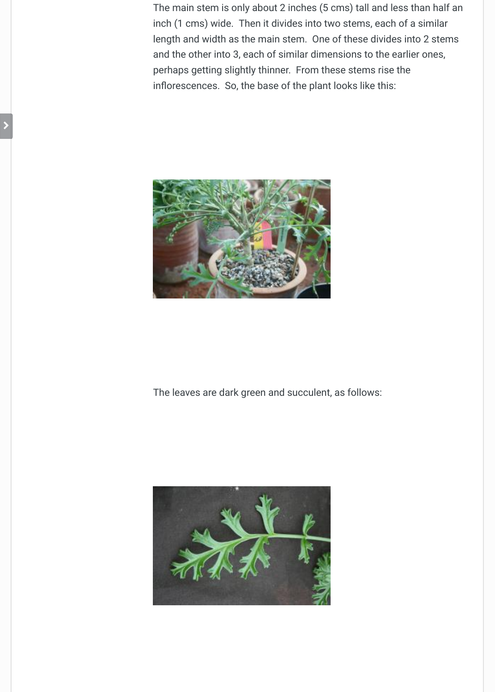

## [The leaves are dark green and succulent,](http://geraniaceae-group-forum.org/uploads/monthly_01_2014/post-3-0-66995900-1389376877.jpg) as follows:

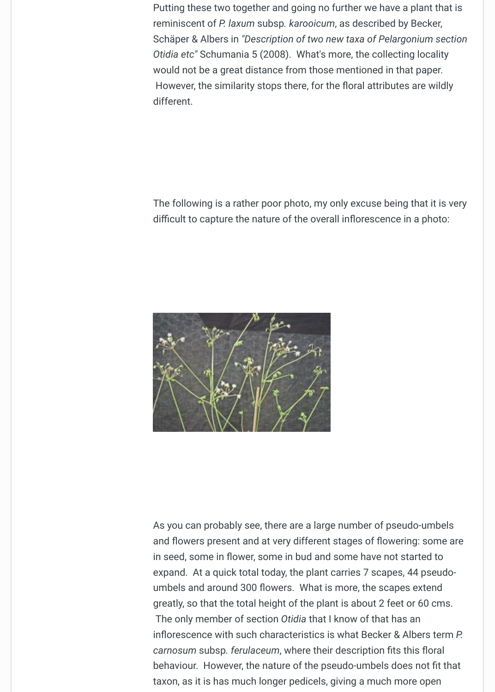The following is a rather poor photo, my only excuse being that it difficult to capture the nature of the overall inflorescence in a photo



[As you can probably see, there are a larg](http://geraniaceae-group-forum.org/uploads/monthly_01_2014/post-3-0-87918400-1389377462.jpg)e number of pseudo-um and flowers present and at very different stages of flowering: so in seed, some in flower, some in bud and some have not started expand. At a quick total today, the plant carries 7 scapes, 44 pse umbels and around 300 flowers. What is more, the scapes exter greatly, so that the total height of the plant is about 2 feet or 60 o The only member of section *Otidia* that I know of that has an inflorescence with such characteristics is what Becker & Albers **P.** *carnosum subsp. ferulaceum, where their description fits this flo* behaviour. However, the nature of the pseudo-umbels does not that taxon, as it is has much longer pedicels, giving a much more ope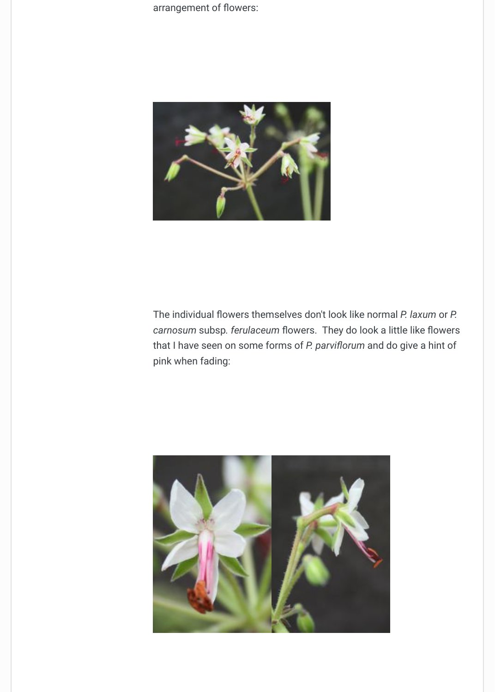

The individual flowers themselves don't look like normal *P. laxun* carnosum subsp. ferulaceum flowers. They do look a little like fl that I have seen on some forms of *P. parviflorum* and do give a h pink when fading:

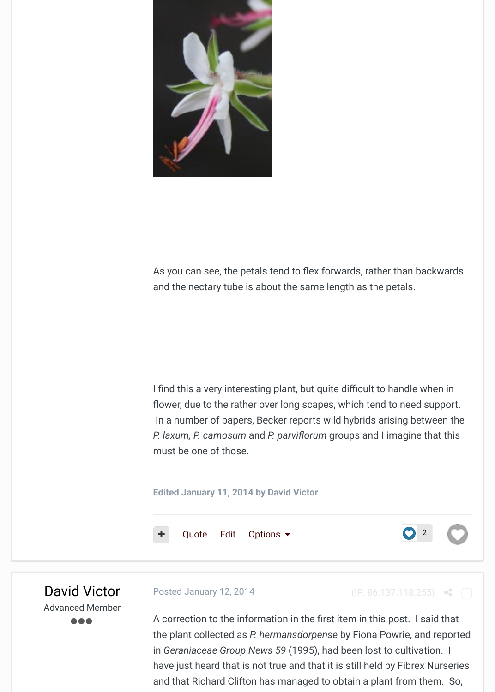

[As you can see, the petals t](http://geraniaceae-group-forum.org/uploads/monthly_01_2014/post-3-0-78751400-1389378320.jpg)end to flex forwards, rather than back and the nectary tube is about the same length as the petals.

I find this a very interesting plant, but quite difficult to handle when flower, due to the rather over long scapes, which tend to need support. In a number of papers, Becker reports wild hybrids arising betwe *P. laxum, P. carnosum and P. parviflorum groups and I imagine the P. laxum, P. carnosum and P. parviflorum groups and I imagine the* must be one of those.

#### **Edited January 11, 2014 by David Victor**



David Victor Advanced Member

○ ○ ○

Posted January 12, 2014 (IP: 86.137.118.255)

A correction to the information in the first item in this post. I said the plant collected as *P. hermansdorpense* by Fiona Powrie, and in *Geraniaceae Group News 59 (1995)*, had been lost to cultivation. have j[ust hea](http://geraniaceae-group-forum.org/index.php?/topic/112-pelargoniums-that-are-not-p-hermansdorpense/#)r[d tha](http://geraniaceae-group-forum.org/index.php?/topic/112-pelargoniums-that-are-not-p-hermansdorpense/&do=editComment&comment=559)t is not true and that it is still held by Fibrex N and that Richard Clifton has managed to obtain a plant from the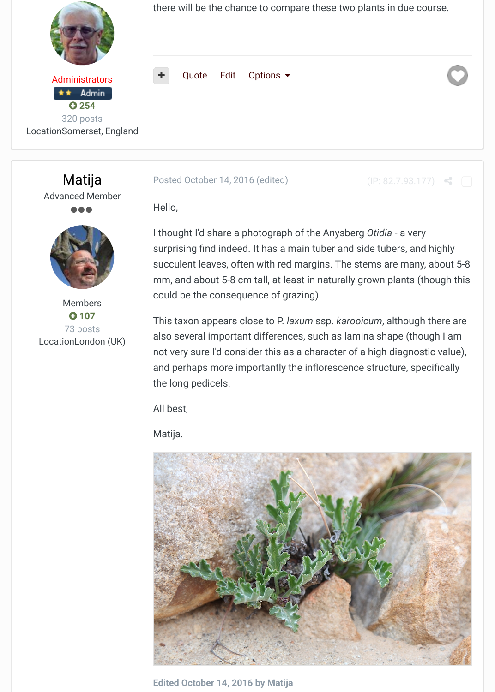

[Members](http://geraniaceae-group-forum.org/index.php?/profile/1536-matija/&wr=eyJhcHAiOiJmb3J1bXMiLCJtb2R1bGUiOiJmb3J1bXMtY29tbWVudCIsImlkXzEiOjExMiwiaWRfMiI6MTQ0MH0=) + **107** 73 posts LocationLondon (UK)

#### **Posted October 14, 2016 (edited)** (IP: 82.7.93.177)

Hello,

I thought I'd share a photograph of the Anysberg *Otidia* - a very surprising find indeed. It has a main tuber and side tubers, and h succulent leaves, often with red margins. The stems are many, a mm, and about 5-8 cm tall, at least in naturally grown plants (though could be the consequence of grazing).

[This taxon appears clos](http://geraniaceae-group-forum.org/index.php?/topic/112-pelargoniums-that-are-not-p-hermansdorpense/&do=findComment&comment=1440)e to P. *laxum* ssp. *karooicum*, although the also several important differences, such as lamina shape (though not very sure I'd consider this as a character of a high diagnostic and perhaps more importantly the inflorescence structure, speci the long pedicels.

All best,

Matija.



**[Edited October 14, 2016 by Matija](http://geraniaceae-group-forum.org/uploads/monthly_2016_10/IMG_4965.JPG.209b348c8ecc835f2e1244921694262d.JPG)**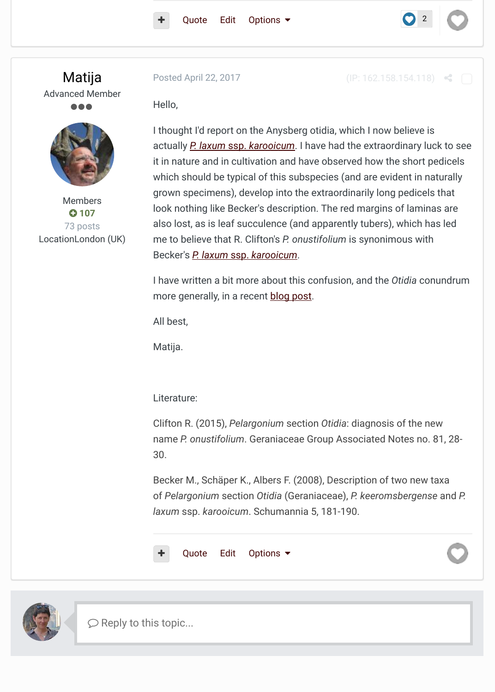

[Members](http://geraniaceae-group-forum.org/index.php?/profile/1536-matija/&wr=eyJhcHAiOiJmb3J1bXMiLCJtb2R1bGUiOiJmb3J1bXMtY29tbWVudCIsImlkXzEiOjExMiwiaWRfMiI6MTQ1OX0=) + **107** 73 posts LocationLondon (UK)

I thought I'd report on the Anysberg otidia, which I now believe is actually *[P. la](http://geraniaceae-group-forum.org/index.php?/topic/112-pelargoniums-that-are-not-p-hermansdorpense/#)xum* [ss](http://geraniaceae-group-forum.org/index.php?/topic/112-pelargoniums-that-are-not-p-hermansdorpense/&do=editComment&comment=1440)p. *karooicum*. I have had the extraordinary lue it in nature and in cultivation and have observed how the short pedicity which should be typical of this subspecies (and are evident in naturally grown specimens), develop into the extraordinarily long pedicels [look nothing like Bec](http://geraniaceae-group-forum.org/index.php?/topic/112-pelargoniums-that-are-not-p-hermansdorpense/&do=findComment&comment=1459)ker's description. The red margins of lamina also lost, as is leaf succulence (and apparently tubers), which has me to believe that R. Clifton's *P. onustifolium* is synonimous with Becker's *P. laxum* ssp. *karooicum*.

I have w[ritten a bit more about th](http://www.pelargonium.si/otidia/laxum.html)is confusion, and the *Otidia* cor more generally, in a recent **blog post**.

All best,

Matija.

Literature:

Clifton R. (2015), *Pelargonium* [sectio](http://pelargonium.si/wp/2016/12/29/note-4-otidias-or-the-story-of-durers-rhino/)n *Otidia*: diagnosis of the new name *P. onustifolium*. Geraniaceae Group Associated Notes no. 30.

Becker M., Schäper K., Albers F. (2008), Description of two new taxaof *Pelargonium* section *Otidia* (Geraniaceae), *P. keeromsbergense laxum* ssp. *karooicum*. Schumannia 5, 181-190.





 $\heartsuit$  Reply to this topic...